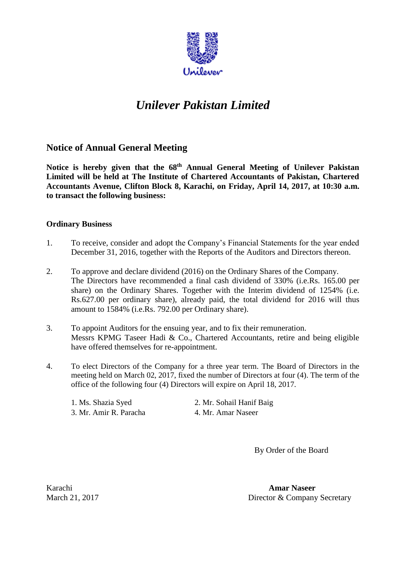

# *Unilever Pakistan Limited*

## **Notice of Annual General Meeting**

Notice is hereby given that the 68<sup>th</sup> Annual General Meeting of Unilever Pakistan  **Limited will be held at The Institute of Chartered Accountants of Pakistan, Chartered to transact the following business: Ordinary Business Accountants Avenue, Clifton Block 8, Karachi, on Friday, April 14, 2017, at 10:30 a.m.** 

- 1. To receive, consider and adopt the Company's Financial Statements for the year ended December 31, 2016, together with the Reports of the Auditors and Directors thereon.
- The Directors have recommended a final cash dividend of 330% (i.e.Rs. 165.00 per share) on the Ordinary Shares. Together with the Interim dividend of 1254% (i.e. Rs.627.00 per ordinary share), already paid, the total dividend for 2016 will thus amount to 1584% (i.e.Rs. 792.00 per Ordinary share). 2. To approve and declare dividend (2016) on the Ordinary Shares of the Company.
- Messrs KPMG Taseer Hadi & Co., Chartered Accountants, retire and being eligible 3. To appoint Auditors for the ensuing year, and to fix their remuneration. have offered themselves for re-appointment.
- 4. To elect Directors of the Company for a three year term. The Board of Directors in the meeting held on March 02, 2017, fixed the number of Directors at four (4). The term of the office of the following four (4) Directors will expire on April 18, 2017.

| 1. Ms. Shazia Syed     | 2. Mr. Sohail Hanif Baig |
|------------------------|--------------------------|
| 3. Mr. Amir R. Paracha | 4. Mr. Amar Naseer       |

By Order of the Board

March 21, 2017

Karachi **Amar Naseer**  Director & Company Secretary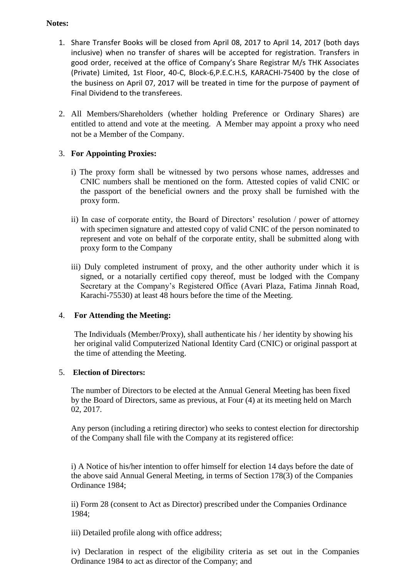#### **Notes:**

- 1. Share Transfer Books will be closed from April 08, 2017 to April 14, 2017 (both days inclusive) when no transfer of shares will be accepted for registration. Transfers in good order, received at the office of Company's Share Registrar M/s THK !ssociates the business on April 07, 2017 will be treated in time for the purpose of payment of Final Dividend to the transferees. (Private) Limited, 1st Floor, 40-C, Block-6,P.E.C.H.S, KARACHI-75400 by the close of
- 2. All Members/Shareholders (whether holding Preference or Ordinary Shares) are entitled to attend and vote at the meeting. A Member may appoint a proxy who need not be a Member of the Company.

### 3. **For Appointing Proxies:**

- i) The proxy form shall be witnessed by two persons whose names, addresses and CNIC numbers shall be mentioned on the form. Attested copies of valid CNIC or the passport of the beneficial owners and the proxy shall be furnished with the proxy form.
- represent and vote on behalf of the corporate entity, shall be submitted along with ii) In case of corporate entity, the Board of Directors' resolution / power of attorney with specimen signature and attested copy of valid CNIC of the person nominated to proxy form to the Company
- iii) Duly completed instrument of proxy, and the other authority under which it is signed, or a notarially certified copy thereof, must be lodged with the Company Secretary at the Company's Registered Office (Avari Plaza, Fatima Jinnah Road, Karachi-75530) at least 48 hours before the time of the Meeting.

#### 4. **For Attending the Meeting:**

 the time of attending the Meeting. The Individuals (Member/Proxy), shall authenticate his / her identity by showing his her original valid Computerized National Identity Card (CNIC) or original passport at

#### 5. **Election of Directors:**

The number of Directors to be elected at the Annual General Meeting has been fixed by the Board of Directors, same as previous, at Four (4) at its meeting held on March 02, 2017.

Any person (including a retiring director) who seeks to contest election for directorship of the Company shall file with the Company at its registered office:

 i) A Notice of his/her intention to offer himself for election 14 days before the date of the above said Annual General Meeting, in terms of Section 178(3) of the Companies Ordinance 1984;

ii) Form 28 (consent to Act as Director) prescribed under the Companies Ordinance 1984;

iii) Detailed profile along with office address;

 iv) Declaration in respect of the eligibility criteria as set out in the Companies Ordinance 1984 to act as director of the Company; and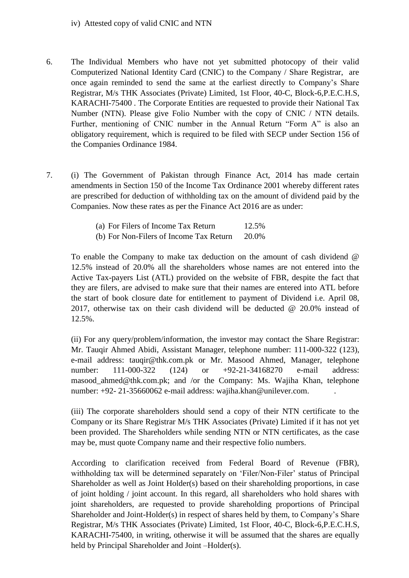iv) Attested copy of valid CNIC and NTN

- 6. The Individual Members who have not yet submitted photocopy of their valid Computerized National Identity Card (CNIC) to the Company / Share Registrar, are KARACHI-75400 . The Corporate Entities are requested to provide their National Tax Number (NTN). Please give Folio Number with the copy of CNIC / NTN details. Further, mentioning of CNIC number in the Annual Return "Form A" is also an the Companies Ordinance 1984. once again reminded to send the same at the earliest directly to Company's Share Registrar, M/s THK Associates (Private) Limited, 1st Floor, 40-C, Block-6,P.E.C.H.S, obligatory requirement, which is required to be filed with SECP under Section 156 of
- the Companies Ordinance 1984.<br>
7. (i) The Government of Pakistan through Finance Act, 2014 has made certain amendments in Section 150 of the Income Tax Ordinance 2001 whereby different rates are prescribed for deduction of withholding tax on the amount of dividend paid by the Companies. Now these rates as per the Finance Act 2016 are as under:

| (a) For Filers of Income Tax Return     | 12.5% |
|-----------------------------------------|-------|
| (b) For Non-Filers of Income Tax Return | 20.0% |

 To enable the Company to make tax deduction on the amount of cash dividend @ 12.5% instead of 20.0% all the shareholders whose names are not entered into the they are filers, are advised to make sure that their names are entered into ATL before the start of book closure date for entitlement to payment of Dividend i.e. April 08, 2017, otherwise tax on their cash dividend will be deducted @ 20.0% instead of Active Tax-payers List (ATL) provided on the website of FBR, despite the fact that 12.5%.

 (ii) For any query/problem/information, the investor may contact the Share Registrar: Mr. Tauqir Ahmed Abidi, Assistant Manager, telephone number: 111-000-322 (123), 111-000-322 e-mail address: tauqir@thk.com.pk or Mr. Masood Ahmed, Manager, telephone number: 111-000-322 (124) or +92-21-34168270 e-mail address: masood ahmed@thk.com.pk; and /or the Company: Ms. Wajiha Khan, telephone number: +92- 21-35660062 e-mail address: [wajiha.khan@unilever.com.](mailto:wajiha.khan@unilever.com) .

 (iii) The corporate shareholders should send a copy of their NTN certificate to the Company or its Share Registrar M/s THK Associates (Private) Limited if it has not yet been provided. The Shareholders while sending NTN or NTN certificates, as the case may be, must quote Company name and their respective folio numbers.

 According to clarification received from Federal Board of Revenue (FBR), withholding tax will be determined separately on 'Filer/Non-Filer' status of Principal Shareholder as well as Joint Holder(s) based on their shareholding proportions, in case Shareholder and Joint-Holder(s) in respect of shares held by them, to Company's Share KARACHI-75400, in writing, otherwise it will be assumed that the shares are equally held by Principal Shareholder and Joint –Holder(s). of joint holding / joint account. In this regard, all shareholders who hold shares with joint shareholders, are requested to provide shareholding proportions of Principal Registrar, M/s THK Associates (Private) Limited, 1st Floor, 40-C, Block-6,P.E.C.H.S,